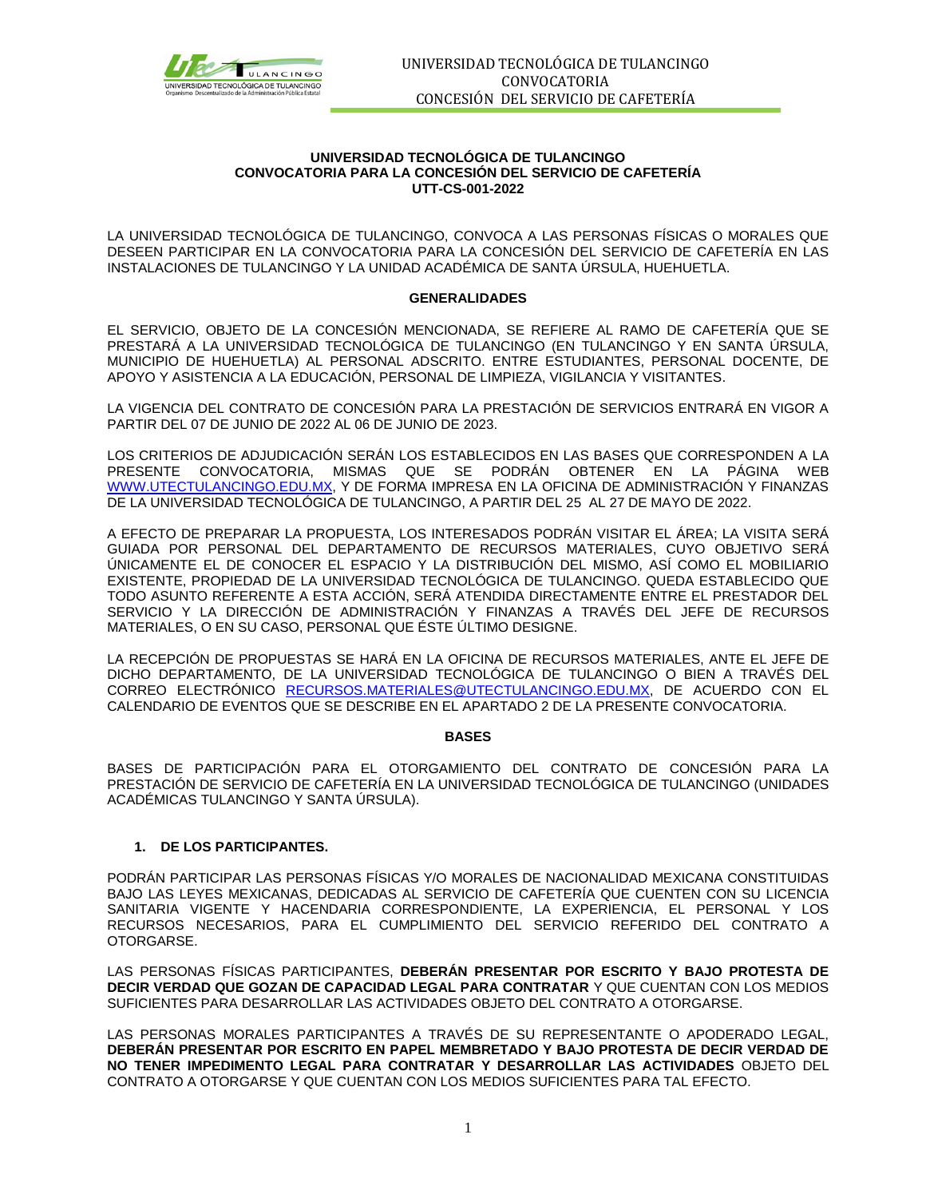

#### **UNIVERSIDAD TECNOLÓGICA DE TULANCINGO CONVOCATORIA PARA LA CONCESIÓN DEL SERVICIO DE CAFETERÍA UTT-CS-001-2022**

LA UNIVERSIDAD TECNOLÓGICA DE TULANCINGO, CONVOCA A LAS PERSONAS FÍSICAS O MORALES QUE DESEEN PARTICIPAR EN LA CONVOCATORIA PARA LA CONCESIÓN DEL SERVICIO DE CAFETERÍA EN LAS INSTALACIONES DE TULANCINGO Y LA UNIDAD ACADÉMICA DE SANTA ÚRSULA, HUEHUETLA.

#### **GENERALIDADES**

EL SERVICIO, OBJETO DE LA CONCESIÓN MENCIONADA, SE REFIERE AL RAMO DE CAFETERÍA QUE SE PRESTARÁ A LA UNIVERSIDAD TECNOLÓGICA DE TULANCINGO (EN TULANCINGO Y EN SANTA ÚRSULA, MUNICIPIO DE HUEHUETLA) AL PERSONAL ADSCRITO. ENTRE ESTUDIANTES, PERSONAL DOCENTE, DE APOYO Y ASISTENCIA A LA EDUCACIÓN, PERSONAL DE LIMPIEZA, VIGILANCIA Y VISITANTES.

LA VIGENCIA DEL CONTRATO DE CONCESIÓN PARA LA PRESTACIÓN DE SERVICIOS ENTRARÁ EN VIGOR A PARTIR DEL 07 DE JUNIO DE 2022 AL 06 DE JUNIO DE 2023.

LOS CRITERIOS DE ADJUDICACIÓN SERÁN LOS ESTABLECIDOS EN LAS BASES QUE CORRESPONDEN A LA PRESENTE CONVOCATORIA, MISMAS QUE SE PODRÁN OBTENER EN LA PÁGINA WEB [WWW.UTECTULANCINGO.EDU.MX,](http://www.utectulancingo.edu.mx/) Y DE FORMA IMPRESA EN LA OFICINA DE ADMINISTRACIÓN Y FINANZAS DE LA UNIVERSIDAD TECNOLÓGICA DE TULANCINGO, A PARTIR DEL 25 AL 27 DE MAYO DE 2022.

A EFECTO DE PREPARAR LA PROPUESTA, LOS INTERESADOS PODRÁN VISITAR EL ÁREA; LA VISITA SERÁ GUIADA POR PERSONAL DEL DEPARTAMENTO DE RECURSOS MATERIALES, CUYO OBJETIVO SERÁ ÚNICAMENTE EL DE CONOCER EL ESPACIO Y LA DISTRIBUCIÓN DEL MISMO, ASÍ COMO EL MOBILIARIO EXISTENTE, PROPIEDAD DE LA UNIVERSIDAD TECNOLÓGICA DE TULANCINGO. QUEDA ESTABLECIDO QUE TODO ASUNTO REFERENTE A ESTA ACCIÓN, SERÁ ATENDIDA DIRECTAMENTE ENTRE EL PRESTADOR DEL SERVICIO Y LA DIRECCIÓN DE ADMINISTRACIÓN Y FINANZAS A TRAVÉS DEL JEFE DE RECURSOS MATERIALES, O EN SU CASO, PERSONAL QUE ÉSTE ÚLTIMO DESIGNE.

LA RECEPCIÓN DE PROPUESTAS SE HARÁ EN LA OFICINA DE RECURSOS MATERIALES, ANTE EL JEFE DE DICHO DEPARTAMENTO, DE LA UNIVERSIDAD TECNOLÓGICA DE TULANCINGO O BIEN A TRAVÉS DEL CORREO ELECTRÓNICO [RECURSOS.MATERIALES@UTECTULANCINGO.EDU.MX,](mailto:RECURSOS.MATERIALES@UTECTULANCINGO.EDU.MX) DE ACUERDO CON EL CALENDARIO DE EVENTOS QUE SE DESCRIBE EN EL APARTADO 2 DE LA PRESENTE CONVOCATORIA.

#### **BASES**

BASES DE PARTICIPACIÓN PARA EL OTORGAMIENTO DEL CONTRATO DE CONCESIÓN PARA LA PRESTACIÓN DE SERVICIO DE CAFETERÍA EN LA UNIVERSIDAD TECNOLÓGICA DE TULANCINGO (UNIDADES ACADÉMICAS TULANCINGO Y SANTA ÚRSULA).

## **1. DE LOS PARTICIPANTES.**

PODRÁN PARTICIPAR LAS PERSONAS FÍSICAS Y/O MORALES DE NACIONALIDAD MEXICANA CONSTITUIDAS BAJO LAS LEYES MEXICANAS, DEDICADAS AL SERVICIO DE CAFETERÍA QUE CUENTEN CON SU LICENCIA SANITARIA VIGENTE Y HACENDARIA CORRESPONDIENTE, LA EXPERIENCIA, EL PERSONAL Y LOS RECURSOS NECESARIOS, PARA EL CUMPLIMIENTO DEL SERVICIO REFERIDO DEL CONTRATO A OTORGARSE.

LAS PERSONAS FÍSICAS PARTICIPANTES, **DEBERÁN PRESENTAR POR ESCRITO Y BAJO PROTESTA DE DECIR VERDAD QUE GOZAN DE CAPACIDAD LEGAL PARA CONTRATAR** Y QUE CUENTAN CON LOS MEDIOS SUFICIENTES PARA DESARROLLAR LAS ACTIVIDADES OBJETO DEL CONTRATO A OTORGARSE.

LAS PERSONAS MORALES PARTICIPANTES A TRAVÉS DE SU REPRESENTANTE O APODERADO LEGAL, **DEBERÁN PRESENTAR POR ESCRITO EN PAPEL MEMBRETADO Y BAJO PROTESTA DE DECIR VERDAD DE NO TENER IMPEDIMENTO LEGAL PARA CONTRATAR Y DESARROLLAR LAS ACTIVIDADES** OBJETO DEL CONTRATO A OTORGARSE Y QUE CUENTAN CON LOS MEDIOS SUFICIENTES PARA TAL EFECTO.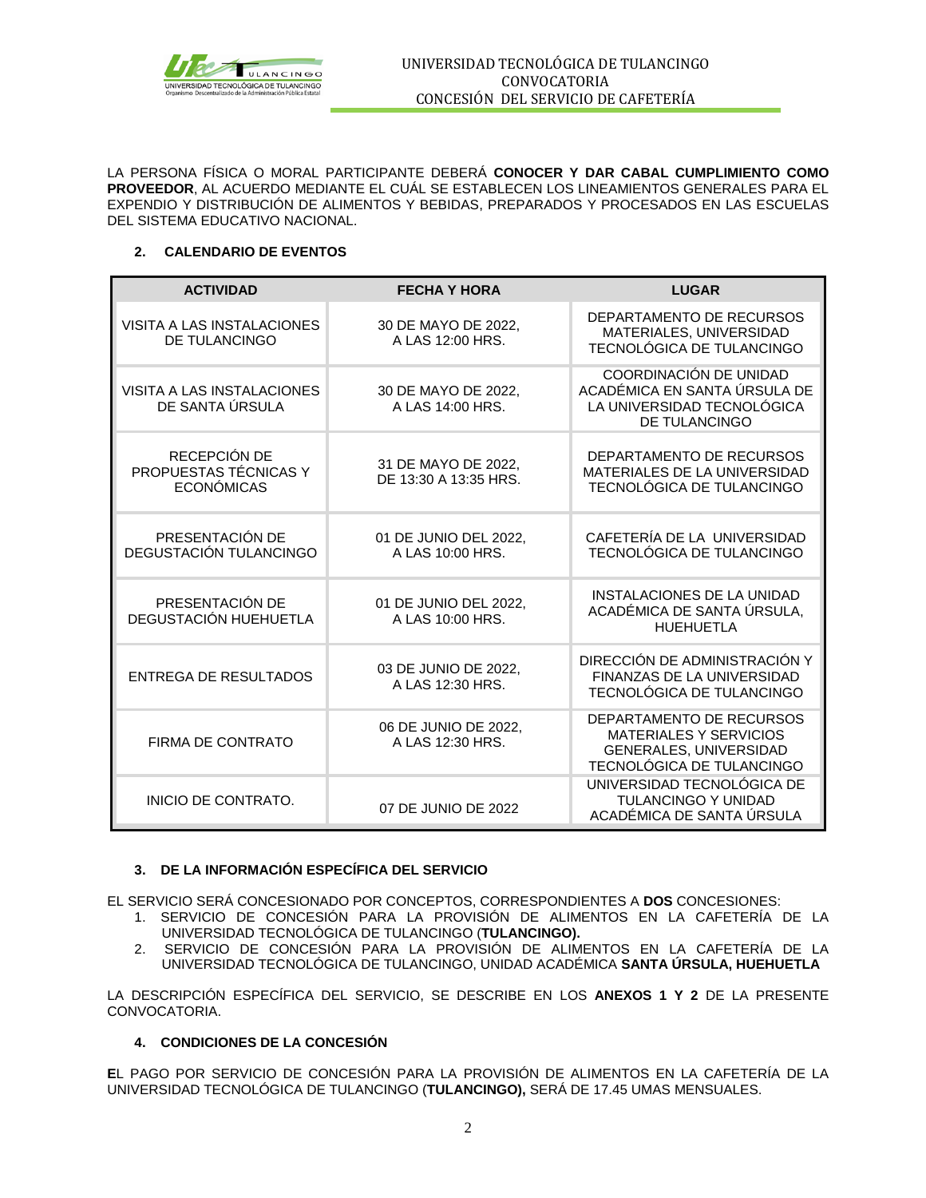

LA PERSONA FÍSICA O MORAL PARTICIPANTE DEBERÁ **CONOCER Y DAR CABAL CUMPLIMIENTO COMO PROVEEDOR**, AL ACUERDO MEDIANTE EL CUÁL SE ESTABLECEN LOS LINEAMIENTOS GENERALES PARA EL EXPENDIO Y DISTRIBUCIÓN DE ALIMENTOS Y BEBIDAS, PREPARADOS Y PROCESADOS EN LAS ESCUELAS DEL SISTEMA EDUCATIVO NACIONAL.

## **2. CALENDARIO DE EVENTOS**

| <b>ACTIVIDAD</b>                                           | <b>FECHA Y HORA</b>                          | <b>LUGAR</b>                                                                                                            |
|------------------------------------------------------------|----------------------------------------------|-------------------------------------------------------------------------------------------------------------------------|
| VISITA A LAS INSTALACIONES<br><b>DE TULANCINGO</b>         | 30 DE MAYO DE 2022,<br>A LAS 12:00 HRS.      | DEPARTAMENTO DE RECURSOS<br>MATERIALES, UNIVERSIDAD<br>TECNOLÓGICA DE TULANCINGO                                        |
| VISITA A LAS INSTALACIONES<br>DE SANTA ÚRSULA              | 30 DE MAYO DE 2022,<br>A LAS 14:00 HRS.      | COORDINACIÓN DE UNIDAD<br>ACADÉMICA EN SANTA ÚRSULA DE<br>LA UNIVERSIDAD TECNOLÓGICA<br><b>DE TULANCINGO</b>            |
| RECEPCIÓN DE<br>PROPUESTAS TÉCNICAS Y<br><b>ECONÓMICAS</b> | 31 DE MAYO DE 2022,<br>DE 13:30 A 13:35 HRS. | DEPARTAMENTO DE RECURSOS<br>MATERIALES DE LA UNIVERSIDAD<br>TECNOLÓGICA DE TULANCINGO                                   |
| PRESENTACIÓN DE<br>DEGUSTACIÓN TULANCINGO                  | 01 DE JUNIO DEL 2022.<br>A LAS 10:00 HRS.    | CAFETERÍA DE LA UNIVERSIDAD<br><b>TECNOLOGICA DE TULANCINGO</b>                                                         |
| PRESENTACIÓN DE<br>DEGUSTACIÓN HUEHUETLA                   | 01 DE JUNIO DEL 2022,<br>A LAS 10:00 HRS.    | INSTALACIONES DE LA UNIDAD<br>ACADÉMICA DE SANTA ÚRSULA,<br><b>HUEHUETLA</b>                                            |
| <b>ENTREGA DE RESULTADOS</b>                               | 03 DE JUNIO DE 2022,<br>A LAS 12:30 HRS.     | DIRECCIÓN DE ADMINISTRACIÓN Y<br>FINANZAS DE LA UNIVERSIDAD<br>TECNOLÓGICA DE TULANCINGO                                |
| FIRMA DE CONTRATO                                          | 06 DE JUNIO DE 2022.<br>A LAS 12:30 HRS.     | DEPARTAMENTO DE RECURSOS<br><b>MATERIALES Y SERVICIOS</b><br><b>GENERALES, UNIVERSIDAD</b><br>TECNOLÓGICA DE TULANCINGO |
| INICIO DE CONTRATO.                                        | 07 DE JUNIO DE 2022                          | UNIVERSIDAD TECNOLÓGICA DE<br><b>TULANCINGO Y UNIDAD</b><br>ACADÉMICA DE SANTA ÚRSULA                                   |

## **3. DE LA INFORMACIÓN ESPECÍFICA DEL SERVICIO**

EL SERVICIO SERÁ CONCESIONADO POR CONCEPTOS, CORRESPONDIENTES A **DOS** CONCESIONES:

- 1. SERVICIO DE CONCESIÓN PARA LA PROVISIÓN DE ALIMENTOS EN LA CAFETERÍA DE LA UNIVERSIDAD TECNOLÓGICA DE TULANCINGO (**TULANCINGO).**
- 2. SERVICIO DE CONCESIÓN PARA LA PROVISIÓN DE ALIMENTOS EN LA CAFETERÍA DE LA UNIVERSIDAD TECNOLÓGICA DE TULANCINGO, UNIDAD ACADÉMICA **SANTA ÚRSULA, HUEHUETLA**

LA DESCRIPCIÓN ESPECÍFICA DEL SERVICIO, SE DESCRIBE EN LOS **ANEXOS 1 Y 2** DE LA PRESENTE CONVOCATORIA.

## **4. CONDICIONES DE LA CONCESIÓN**

**E**L PAGO POR SERVICIO DE CONCESIÓN PARA LA PROVISIÓN DE ALIMENTOS EN LA CAFETERÍA DE LA UNIVERSIDAD TECNOLÓGICA DE TULANCINGO (**TULANCINGO),** SERÁ DE 17.45 UMAS MENSUALES.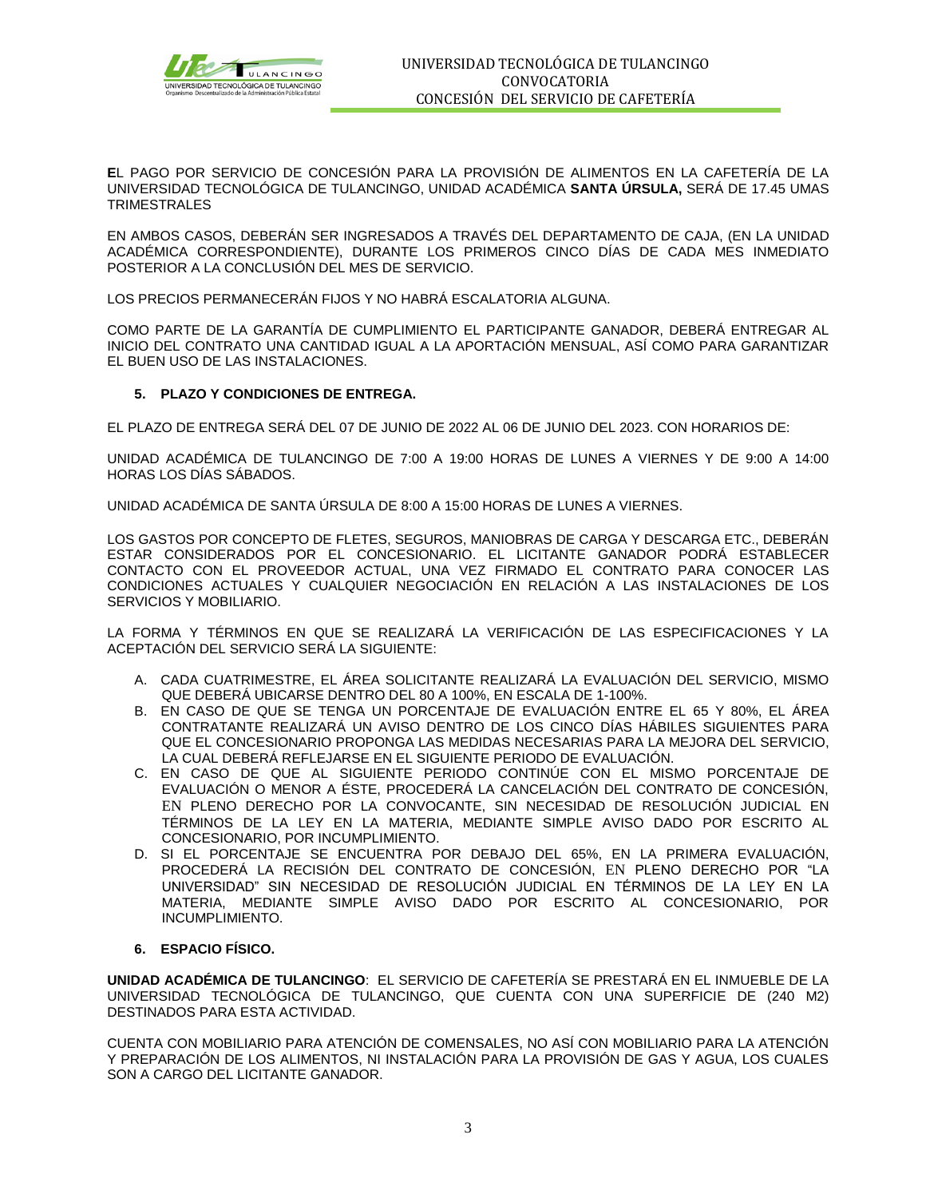

**E**L PAGO POR SERVICIO DE CONCESIÓN PARA LA PROVISIÓN DE ALIMENTOS EN LA CAFETERÍA DE LA UNIVERSIDAD TECNOLÓGICA DE TULANCINGO, UNIDAD ACADÉMICA **SANTA ÚRSULA,** SERÁ DE 17.45 UMAS TRIMESTRALES

EN AMBOS CASOS, DEBERÁN SER INGRESADOS A TRAVÉS DEL DEPARTAMENTO DE CAJA, (EN LA UNIDAD ACADÉMICA CORRESPONDIENTE), DURANTE LOS PRIMEROS CINCO DÍAS DE CADA MES INMEDIATO POSTERIOR A LA CONCLUSIÓN DEL MES DE SERVICIO.

LOS PRECIOS PERMANECERÁN FIJOS Y NO HABRÁ ESCALATORIA ALGUNA.

COMO PARTE DE LA GARANTÍA DE CUMPLIMIENTO EL PARTICIPANTE GANADOR, DEBERÁ ENTREGAR AL INICIO DEL CONTRATO UNA CANTIDAD IGUAL A LA APORTACIÓN MENSUAL, ASÍ COMO PARA GARANTIZAR EL BUEN USO DE LAS INSTALACIONES.

#### **5. PLAZO Y CONDICIONES DE ENTREGA.**

EL PLAZO DE ENTREGA SERÁ DEL 07 DE JUNIO DE 2022 AL 06 DE JUNIO DEL 2023. CON HORARIOS DE:

UNIDAD ACADÉMICA DE TULANCINGO DE 7:00 A 19:00 HORAS DE LUNES A VIERNES Y DE 9:00 A 14:00 HORAS LOS DÍAS SÁBADOS.

UNIDAD ACADÉMICA DE SANTA ÚRSULA DE 8:00 A 15:00 HORAS DE LUNES A VIERNES.

LOS GASTOS POR CONCEPTO DE FLETES, SEGUROS, MANIOBRAS DE CARGA Y DESCARGA ETC., DEBERÁN ESTAR CONSIDERADOS POR EL CONCESIONARIO. EL LICITANTE GANADOR PODRÁ ESTABLECER CONTACTO CON EL PROVEEDOR ACTUAL, UNA VEZ FIRMADO EL CONTRATO PARA CONOCER LAS CONDICIONES ACTUALES Y CUALQUIER NEGOCIACIÓN EN RELACIÓN A LAS INSTALACIONES DE LOS SERVICIOS Y MOBILIARIO.

LA FORMA Y TÉRMINOS EN QUE SE REALIZARÁ LA VERIFICACIÓN DE LAS ESPECIFICACIONES Y LA ACEPTACIÓN DEL SERVICIO SERÁ LA SIGUIENTE:

- A. CADA CUATRIMESTRE, EL ÁREA SOLICITANTE REALIZARÁ LA EVALUACIÓN DEL SERVICIO, MISMO QUE DEBERÁ UBICARSE DENTRO DEL 80 A 100%, EN ESCALA DE 1-100%.
- B. EN CASO DE QUE SE TENGA UN PORCENTAJE DE EVALUACIÓN ENTRE EL 65 Y 80%, EL ÁREA CONTRATANTE REALIZARÁ UN AVISO DENTRO DE LOS CINCO DÍAS HÁBILES SIGUIENTES PARA QUE EL CONCESIONARIO PROPONGA LAS MEDIDAS NECESARIAS PARA LA MEJORA DEL SERVICIO, LA CUAL DEBERÁ REFLEJARSE EN EL SIGUIENTE PERIODO DE EVALUACIÓN.
- C. EN CASO DE QUE AL SIGUIENTE PERIODO CONTINÚE CON EL MISMO PORCENTAJE DE EVALUACIÓN O MENOR A ÉSTE, PROCEDERÁ LA CANCELACIÓN DEL CONTRATO DE CONCESIÓN, EN PLENO DERECHO POR LA CONVOCANTE, SIN NECESIDAD DE RESOLUCIÓN JUDICIAL EN TÉRMINOS DE LA LEY EN LA MATERIA, MEDIANTE SIMPLE AVISO DADO POR ESCRITO AL CONCESIONARIO, POR INCUMPLIMIENTO.
- D. SI EL PORCENTAJE SE ENCUENTRA POR DEBAJO DEL 65%, EN LA PRIMERA EVALUACIÓN, PROCEDERÁ LA RECISIÓN DEL CONTRATO DE CONCESIÓN, EN PLENO DERECHO POR "LA UNIVERSIDAD" SIN NECESIDAD DE RESOLUCIÓN JUDICIAL EN TÉRMINOS DE LA LEY EN LA MATERIA, MEDIANTE SIMPLE AVISO DADO POR ESCRITO AL CONCESIONARIO, POR INCUMPLIMIENTO.
- **6. ESPACIO FÍSICO.**

**UNIDAD ACADÉMICA DE TULANCINGO**: EL SERVICIO DE CAFETERÍA SE PRESTARÁ EN EL INMUEBLE DE LA UNIVERSIDAD TECNOLÓGICA DE TULANCINGO, QUE CUENTA CON UNA SUPERFICIE DE (240 M2) DESTINADOS PARA ESTA ACTIVIDAD.

CUENTA CON MOBILIARIO PARA ATENCIÓN DE COMENSALES, NO ASÍ CON MOBILIARIO PARA LA ATENCIÓN Y PREPARACIÓN DE LOS ALIMENTOS, NI INSTALACIÓN PARA LA PROVISIÓN DE GAS Y AGUA, LOS CUALES SON A CARGO DEL LICITANTE GANADOR.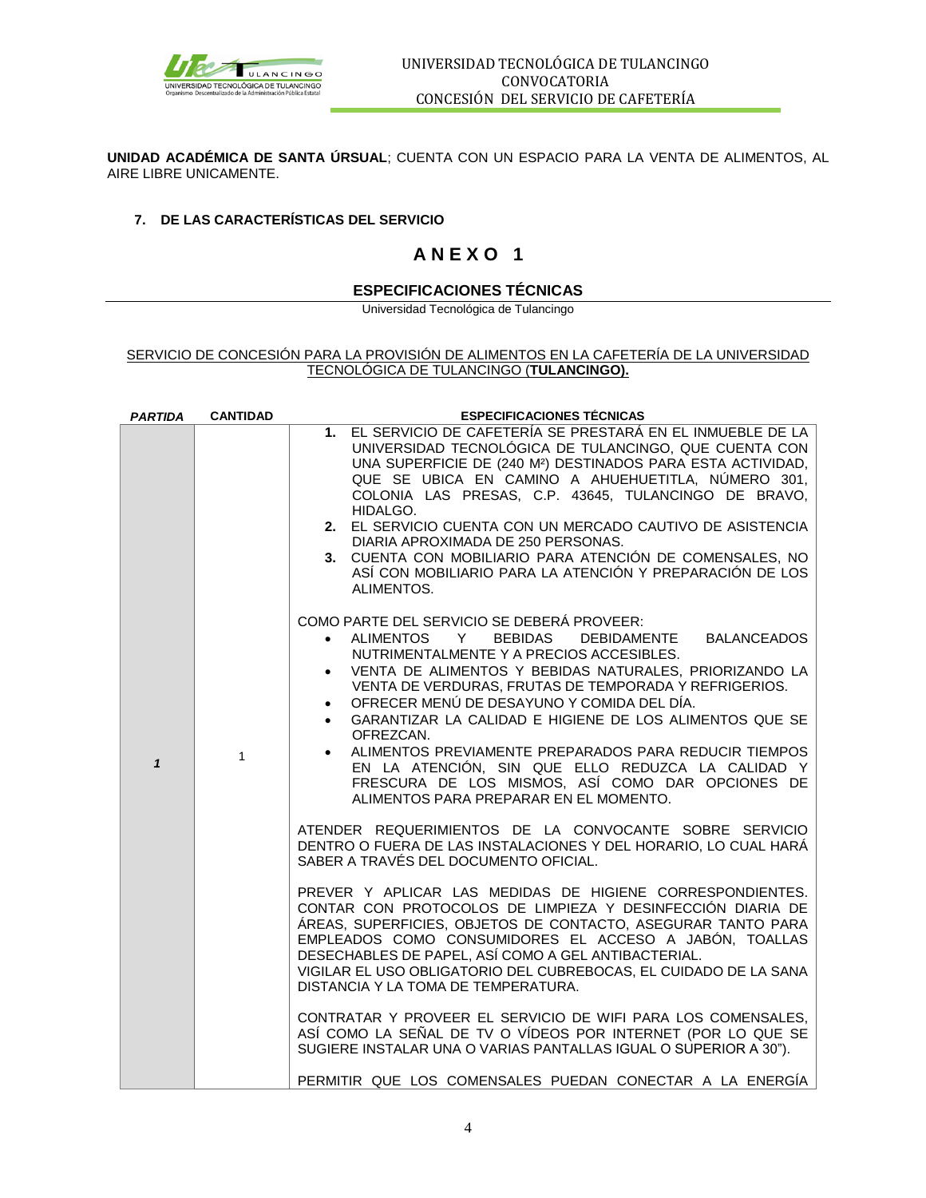

**UNIDAD ACADÉMICA DE SANTA ÚRSUAL**; CUENTA CON UN ESPACIO PARA LA VENTA DE ALIMENTOS, AL AIRE LIBRE UNICAMENTE.

## **7. DE LAS CARACTERÍSTICAS DEL SERVICIO**

## **A N E X O 1**

## **ESPECIFICACIONES TÉCNICAS**

Universidad Tecnológica de Tulancingo

### SERVICIO DE CONCESIÓN PARA LA PROVISIÓN DE ALIMENTOS EN LA CAFETERÍA DE LA UNIVERSIDAD TECNOLÓGICA DE TULANCINGO (**TULANCINGO).**

| <b>PARTIDA</b> | <b>CANTIDAD</b> | <b>ESPECIFICACIONES TÉCNICAS</b>                                                                                                                                                                                                                                                                                                                                                                                                                                                                                                                                                                                                                                                                                                                                                                                                                          |  |  |
|----------------|-----------------|-----------------------------------------------------------------------------------------------------------------------------------------------------------------------------------------------------------------------------------------------------------------------------------------------------------------------------------------------------------------------------------------------------------------------------------------------------------------------------------------------------------------------------------------------------------------------------------------------------------------------------------------------------------------------------------------------------------------------------------------------------------------------------------------------------------------------------------------------------------|--|--|
|                |                 | 1. EL SERVICIO DE CAFETERÍA SE PRESTARÁ EN EL INMUEBLE DE LA<br>UNIVERSIDAD TECNOLÓGICA DE TULANCINGO, QUE CUENTA CON<br>UNA SUPERFICIE DE (240 M <sup>2</sup> ) DESTINADOS PARA ESTA ACTIVIDAD,<br>QUE SE UBICA EN CAMINO A AHUEHUETITLA, NÚMERO 301,<br>COLONIA LAS PRESAS, C.P. 43645, TULANCINGO DE BRAVO,<br>HIDALGO.<br>2. EL SERVICIO CUENTA CON UN MERCADO CAUTIVO DE ASISTENCIA<br>DIARIA APROXIMADA DE 250 PERSONAS.<br>3. CUENTA CON MOBILIARIO PARA ATENCIÓN DE COMENSALES, NO<br>ASÍ CON MOBILIARIO PARA LA ATENCIÓN Y PREPARACIÓN DE LOS<br>ALIMENTOS.                                                                                                                                                                                                                                                                                      |  |  |
| $\mathbf{1}$   | 1               | COMO PARTE DEL SERVICIO SE DEBERÁ PROVEER:<br>• ALIMENTOS Y BEBIDAS DEBIDAMENTE BALANCEADOS<br>NUTRIMENTALMENTE Y A PRECIOS ACCESIBLES.<br>• VENTA DE ALIMENTOS Y BEBIDAS NATURALES, PRIORIZANDO LA<br>VENTA DE VERDURAS, FRUTAS DE TEMPORADA Y REFRIGERIOS.<br>• OFRECER MENÚ DE DESAYUNO Y COMIDA DEL DÍA.<br>• GARANTIZAR LA CALIDAD E HIGIENE DE LOS ALIMENTOS QUE SE<br>OFREZCAN.<br>• ALIMENTOS PREVIAMENTE PREPARADOS PARA REDUCIR TIEMPOS<br>EN LA ATENCIÓN, SIN QUE ELLO REDUZCA LA CALIDAD Y<br>FRESCURA DE LOS MISMOS, ASÍ COMO DAR OPCIONES DE<br>ALIMENTOS PARA PREPARAR EN EL MOMENTO.                                                                                                                                                                                                                                                      |  |  |
|                |                 | ATENDER REQUERIMIENTOS DE LA CONVOCANTE SOBRE SERVICIO<br>DENTRO O FUERA DE LAS INSTALACIONES Y DEL HORARIO, LO CUAL HARÁ<br>SABER A TRAVÉS DEL DOCUMENTO OFICIAL.<br>PREVER Y APLICAR LAS MEDIDAS DE HIGIENE CORRESPONDIENTES.<br>CONTAR CON PROTOCOLOS DE LIMPIEZA Y DESINFECCIÓN DIARIA DE<br>ÁREAS, SUPERFICIES, OBJETOS DE CONTACTO, ASEGURAR TANTO PARA<br>EMPLEADOS COMO CONSUMIDORES EL ACCESO A JABÓN, TOALLAS<br>DESECHABLES DE PAPEL, ASÍ COMO A GEL ANTIBACTERIAL.<br>VIGILAR EL USO OBLIGATORIO DEL CUBREBOCAS, EL CUIDADO DE LA SANA<br>DISTANCIA Y LA TOMA DE TEMPERATURA.<br>CONTRATAR Y PROVEER EL SERVICIO DE WIFI PARA LOS COMENSALES.<br>ASÍ COMO LA SEÑAL DE TV O VÍDEOS POR INTERNET (POR LO QUE SE<br>SUGIERE INSTALAR UNA O VARIAS PANTALLAS IGUAL O SUPERIOR A 30").<br>PERMITIR QUE LOS COMENSALES PUEDAN CONECTAR A LA ENERGÍA |  |  |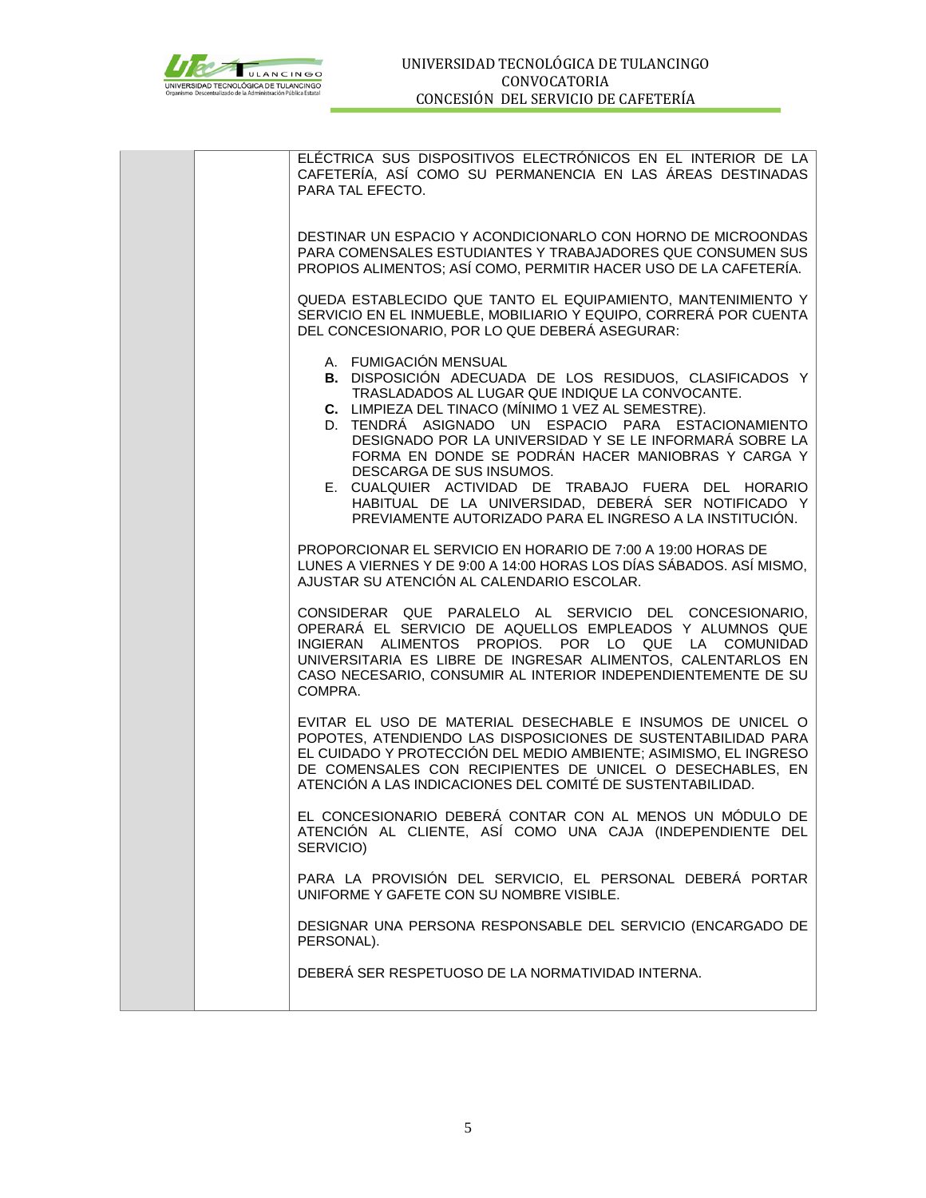

| ELÉCTRICA SUS DISPOSITIVOS ELECTRÓNICOS EN EL INTERIOR DE LA<br>CAFETERÍA, ASÍ COMO SU PERMANENCIA EN LAS ÁREAS DESTINADAS<br>PARA TAL EFECTO.                                                                                                                                                                                                                                                                                                                                                                                                                                |
|-------------------------------------------------------------------------------------------------------------------------------------------------------------------------------------------------------------------------------------------------------------------------------------------------------------------------------------------------------------------------------------------------------------------------------------------------------------------------------------------------------------------------------------------------------------------------------|
| DESTINAR UN ESPACIO Y ACONDICIONARLO CON HORNO DE MICROONDAS<br>PARA COMENSALES ESTUDIANTES Y TRABAJADORES QUE CONSUMEN SUS<br>PROPIOS ALIMENTOS; ASÍ COMO, PERMITIR HACER USO DE LA CAFETERÍA.                                                                                                                                                                                                                                                                                                                                                                               |
| QUEDA ESTABLECIDO QUE TANTO EL EQUIPAMIENTO, MANTENIMIENTO Y<br>SERVICIO EN EL INMUEBLE, MOBILIARIO Y EQUIPO, CORRERÁ POR CUENTA<br>DEL CONCESIONARIO, POR LO QUE DEBERÁ ASEGURAR:                                                                                                                                                                                                                                                                                                                                                                                            |
| A. FUMIGACIÓN MENSUAL<br><b>B.</b> DISPOSICIÓN ADECUADA DE LOS RESIDUOS, CLASIFICADOS Y<br>TRASLADADOS AL LUGAR QUE INDIQUE LA CONVOCANTE.<br>C. LIMPIEZA DEL TINACO (MÍNIMO 1 VEZ AL SEMESTRE).<br>D. TENDRÁ ASIGNADO UN ESPACIO PARA ESTACIONAMIENTO<br>DESIGNADO POR LA UNIVERSIDAD Y SE LE INFORMARÁ SOBRE LA<br>FORMA EN DONDE SE PODRÁN HACER MANIOBRAS Y CARGA Y<br>DESCARGA DE SUS INSUMOS.<br>E. CUALQUIER ACTIVIDAD DE TRABAJO FUERA DEL HORARIO<br>HABITUAL DE LA UNIVERSIDAD, DEBERÁ SER NOTIFICADO Y<br>PREVIAMENTE AUTORIZADO PARA EL INGRESO A LA INSTITUCIÓN. |
| PROPORCIONAR EL SERVICIO EN HORARIO DE 7:00 A 19:00 HORAS DE<br>LUNES A VIERNES Y DE 9:00 A 14:00 HORAS LOS DÍAS SÁBADOS. ASÍ MISMO,<br>AJUSTAR SU ATENCIÓN AL CALENDARIO ESCOLAR.                                                                                                                                                                                                                                                                                                                                                                                            |
| CONSIDERAR QUE PARALELO AL SERVICIO DEL CONCESIONARIO,<br>OPERARÁ EL SERVICIO DE AQUELLOS EMPLEADOS Y ALUMNOS QUE<br>INGIERAN ALIMENTOS PROPIOS. POR LO QUE LA COMUNIDAD<br>UNIVERSITARIA ES LIBRE DE INGRESAR ALIMENTOS, CALENTARLOS EN<br>CASO NECESARIO, CONSUMIR AL INTERIOR INDEPENDIENTEMENTE DE SU<br>COMPRA.                                                                                                                                                                                                                                                          |
| EVITAR EL USO DE MATERIAL DESECHABLE E INSUMOS DE UNICEL O<br>POPOTES, ATENDIENDO LAS DISPOSICIONES DE SUSTENTABILIDAD PARA<br>EL CUIDADO Y PROTECCIÓN DEL MEDIO AMBIENTE; ASIMISMO, EL INGRESO<br>DE COMENSALES CON RECIPIENTES DE UNICEL O DESECHABLES, EN<br>ATENCIÓN A LAS INDICACIONES DEL COMITÉ DE SUSTENTABILIDAD.                                                                                                                                                                                                                                                    |
| EL CONCESIONARIO DEBERÁ CONTAR CON AL MENOS UN MÓDULO DE<br>ATENCIÓN AL CLIENTE, ASÍ COMO UNA CAJA (INDEPENDIENTE DEL<br>SERVICIO)                                                                                                                                                                                                                                                                                                                                                                                                                                            |
| PARA LA PROVISIÓN DEL SERVICIO, EL PERSONAL DEBERÁ PORTAR<br>UNIFORME Y GAFETE CON SU NOMBRE VISIBLE.                                                                                                                                                                                                                                                                                                                                                                                                                                                                         |
| DESIGNAR UNA PERSONA RESPONSABLE DEL SERVICIO (ENCARGADO DE<br>PERSONAL).                                                                                                                                                                                                                                                                                                                                                                                                                                                                                                     |
| DEBERÁ SER RESPETUOSO DE LA NORMATIVIDAD INTERNA.                                                                                                                                                                                                                                                                                                                                                                                                                                                                                                                             |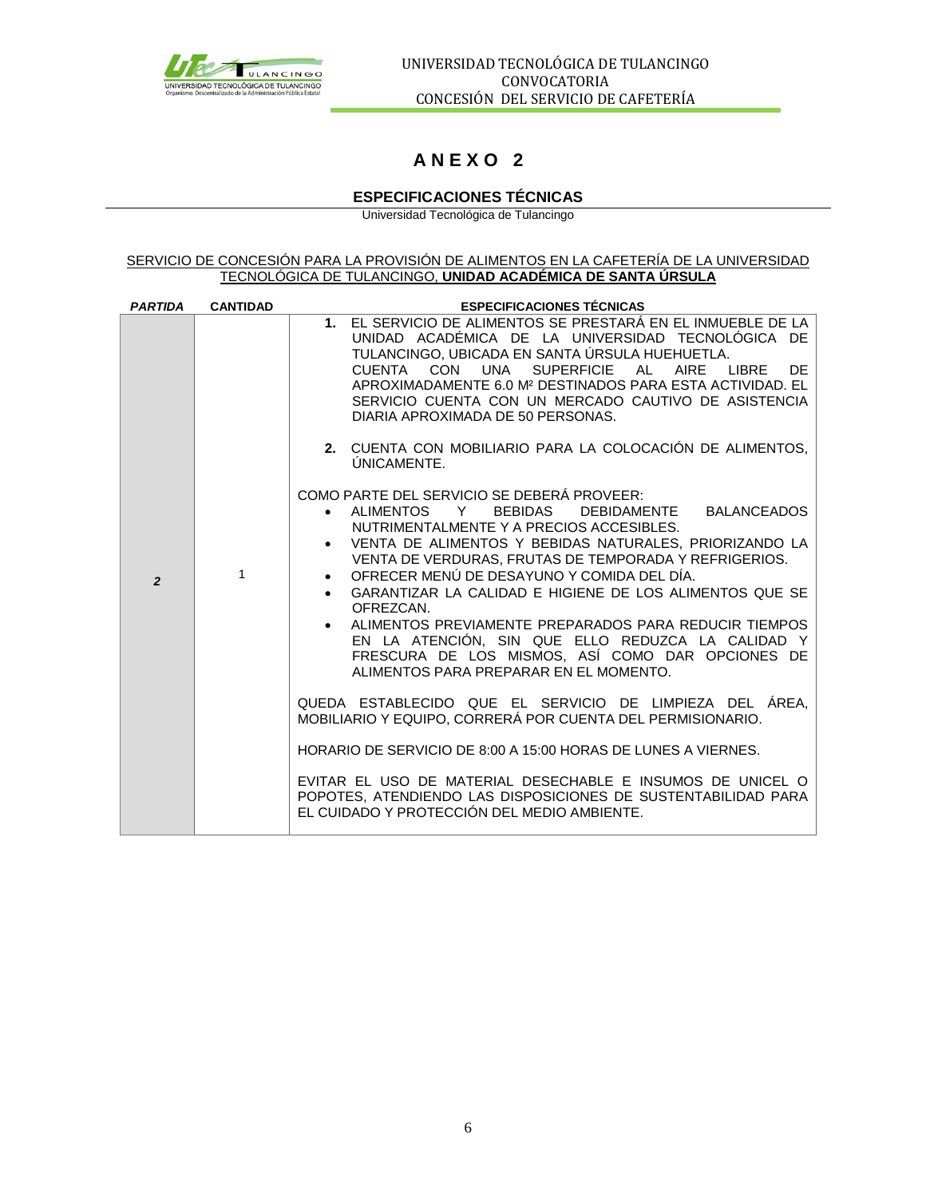

# **A N E X O 2**

## **ESPECIFICACIONES TÉCNICAS**

Universidad Tecnológica de Tulancingo

#### SERVICIO DE CONCESIÓN PARA LA PROVISIÓN DE ALIMENTOS EN LA CAFETERÍA DE LA UNIVERSIDAD TECNOLÓGICA DE TULANCINGO, **UNIDAD ACADÉMICA DE SANTA ÚRSULA**

| <b>PARTIDA</b> | <b>CANTIDAD</b> | <b>ESPECIFICACIONES TÉCNICAS</b>                                                                                                                                                                                                                                                                                                                                                                                                                                                                                                                                                                    |
|----------------|-----------------|-----------------------------------------------------------------------------------------------------------------------------------------------------------------------------------------------------------------------------------------------------------------------------------------------------------------------------------------------------------------------------------------------------------------------------------------------------------------------------------------------------------------------------------------------------------------------------------------------------|
|                |                 | 1. EL SERVICIO DE ALIMENTOS SE PRESTARÁ EN EL INMUEBLE DE LA<br>UNIDAD ACADÉMICA DE LA UNIVERSIDAD TECNOLÓGICA DE<br>TULANCINGO, UBICADA EN SANTA ÚRSULA HUEHUETLA.<br>CON<br>UNA<br><b>SUPERFICIE</b><br><b>LIBRE</b><br>CUENTA<br>AL<br>AIRE<br>DF.<br>APROXIMADAMENTE 6.0 M <sup>2</sup> DESTINADOS PARA ESTA ACTIVIDAD. EL<br>SERVICIO CUENTA CON UN MERCADO CAUTIVO DE ASISTENCIA<br>DIARIA APROXIMADA DE 50 PERSONAS.                                                                                                                                                                         |
|                |                 | 2. CUENTA CON MOBILIARIO PARA LA COLOCACIÓN DE ALIMENTOS,<br>ÚNICAMENTE.                                                                                                                                                                                                                                                                                                                                                                                                                                                                                                                            |
| $\overline{2}$ | $\mathbf{1}$    | COMO PARTE DEL SERVICIO SE DEBERÁ PROVEER:<br>• ALIMENTOS Y BEBIDAS<br>DEBIDAMENTE BALANCEADOS<br>NUTRIMENTALMENTE Y A PRECIOS ACCESIBLES.<br>• VENTA DE ALIMENTOS Y BEBIDAS NATURALES, PRIORIZANDO LA<br>VENTA DE VERDURAS, FRUTAS DE TEMPORADA Y REFRIGERIOS.<br>OFRECER MENÚ DE DESAYUNO Y COMIDA DEL DÍA.<br>GARANTIZAR LA CALIDAD E HIGIENE DE LOS ALIMENTOS QUE SE<br>OFREZCAN.<br>• ALIMENTOS PREVIAMENTE PREPARADOS PARA REDUCIR TIEMPOS<br>EN LA ATENCIÓN, SIN QUE ELLO REDUZCA LA CALIDAD Y<br>FRESCURA DE LOS MISMOS, ASÍ COMO DAR OPCIONES DE<br>ALIMENTOS PARA PREPARAR EN EL MOMENTO. |
|                |                 | QUEDA ESTABLECIDO QUE EL SERVICIO DE LIMPIEZA DEL ÁREA,<br>MOBILIARIO Y EQUIPO, CORRERÁ POR CUENTA DEL PERMISIONARIO.                                                                                                                                                                                                                                                                                                                                                                                                                                                                               |
|                |                 | HORARIO DE SERVICIO DE 8:00 A 15:00 HORAS DE LUNES A VIERNES.                                                                                                                                                                                                                                                                                                                                                                                                                                                                                                                                       |
|                |                 | EVITAR EL USO DE MATERIAL DESECHABLE E INSUMOS DE UNICEL O<br>POPOTES, ATENDIENDO LAS DISPOSICIONES DE SUSTENTABILIDAD PARA<br>EL CUIDADO Y PROTECCIÓN DEL MEDIO AMBIENTE.                                                                                                                                                                                                                                                                                                                                                                                                                          |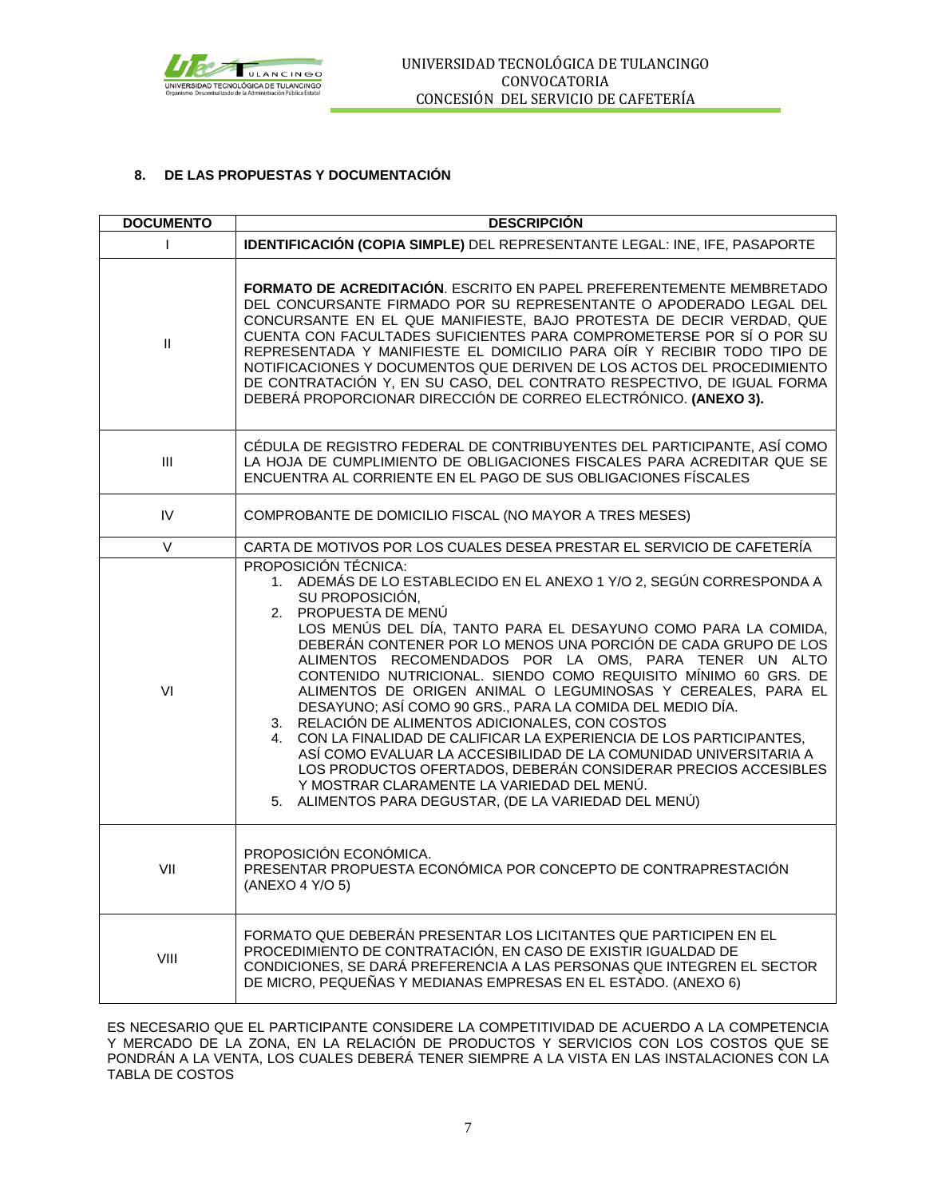

## **8. DE LAS PROPUESTAS Y DOCUMENTACIÓN**

| <b>DOCUMENTO</b> | <b>DESCRIPCIÓN</b>                                                                                                                                                                                                                                                                                                                                                                                                                                                                                                                                                                                                                                                                                                                                                                                                                                                                                                |  |  |
|------------------|-------------------------------------------------------------------------------------------------------------------------------------------------------------------------------------------------------------------------------------------------------------------------------------------------------------------------------------------------------------------------------------------------------------------------------------------------------------------------------------------------------------------------------------------------------------------------------------------------------------------------------------------------------------------------------------------------------------------------------------------------------------------------------------------------------------------------------------------------------------------------------------------------------------------|--|--|
| $\mathsf{I}$     | IDENTIFICACIÓN (COPIA SIMPLE) DEL REPRESENTANTE LEGAL: INE, IFE, PASAPORTE                                                                                                                                                                                                                                                                                                                                                                                                                                                                                                                                                                                                                                                                                                                                                                                                                                        |  |  |
| $\mathbf{I}$     | FORMATO DE ACREDITACIÓN. ESCRITO EN PAPEL PREFERENTEMENTE MEMBRETADO<br>DEL CONCURSANTE FIRMADO POR SU REPRESENTANTE O APODERADO LEGAL DEL<br>CONCURSANTE EN EL QUE MANIFIESTE, BAJO PROTESTA DE DECIR VERDAD, QUE<br>CUENTA CON FACULTADES SUFICIENTES PARA COMPROMETERSE POR SÍ O POR SU<br>REPRESENTADA Y MANIFIESTE EL DOMICILIO PARA OÍR Y RECIBIR TODO TIPO DE<br>NOTIFICACIONES Y DOCUMENTOS QUE DERIVEN DE LOS ACTOS DEL PROCEDIMIENTO<br>DE CONTRATACIÓN Y, EN SU CASO, DEL CONTRATO RESPECTIVO, DE IGUAL FORMA<br>DEBERÁ PROPORCIONAR DIRECCIÓN DE CORREO ELECTRÓNICO. (ANEXO 3).                                                                                                                                                                                                                                                                                                                       |  |  |
| Ш                | CÉDULA DE REGISTRO FEDERAL DE CONTRIBUYENTES DEL PARTICIPANTE, ASÍ COMO<br>LA HOJA DE CUMPLIMIENTO DE OBLIGACIONES FISCALES PARA ACREDITAR QUE SE<br>ENCUENTRA AL CORRIENTE EN EL PAGO DE SUS OBLIGACIONES FÍSCALES                                                                                                                                                                                                                                                                                                                                                                                                                                                                                                                                                                                                                                                                                               |  |  |
| IV               | COMPROBANTE DE DOMICILIO FISCAL (NO MAYOR A TRES MESES)                                                                                                                                                                                                                                                                                                                                                                                                                                                                                                                                                                                                                                                                                                                                                                                                                                                           |  |  |
| $\vee$           | CARTA DE MOTIVOS POR LOS CUALES DESEA PRESTAR EL SERVICIO DE CAFETERÍA                                                                                                                                                                                                                                                                                                                                                                                                                                                                                                                                                                                                                                                                                                                                                                                                                                            |  |  |
| VI               | PROPOSICIÓN TÉCNICA:<br>1. ADEMÁS DE LO ESTABLECIDO EN EL ANEXO 1 Y/O 2, SEGÚN CORRESPONDA A<br>SU PROPOSICIÓN.<br>2. PROPUESTA DE MENÚ<br>LOS MENÚS DEL DÍA, TANTO PARA EL DESAYUNO COMO PARA LA COMIDA,<br>DEBERÁN CONTENER POR LO MENOS UNA PORCIÓN DE CADA GRUPO DE LOS<br>ALIMENTOS RECOMENDADOS POR LA OMS, PARA TENER UN ALTO<br>CONTENIDO NUTRICIONAL. SIENDO COMO REQUISITO MÍNIMO 60 GRS. DE<br>ALIMENTOS DE ORIGEN ANIMAL O LEGUMINOSAS Y CEREALES, PARA EL<br>DESAYUNO; ASÍ COMO 90 GRS., PARA LA COMIDA DEL MEDIO DÍA.<br>3. RELACIÓN DE ALIMENTOS ADICIONALES, CON COSTOS<br>CON LA FINALIDAD DE CALIFICAR LA EXPERIENCIA DE LOS PARTICIPANTES,<br>4.<br>ASÍ COMO EVALUAR LA ACCESIBILIDAD DE LA COMUNIDAD UNIVERSITARIA A<br>LOS PRODUCTOS OFERTADOS, DEBERÁN CONSIDERAR PRECIOS ACCESIBLES<br>Y MOSTRAR CLARAMENTE LA VARIEDAD DEL MENÚ.<br>5. ALIMENTOS PARA DEGUSTAR, (DE LA VARIEDAD DEL MENÚ) |  |  |
| VII              | PROPOSICIÓN ECONÓMICA.<br>PRESENTAR PROPUESTA ECONÓMICA POR CONCEPTO DE CONTRAPRESTACIÓN<br>(ANEXO 4 Y/O 5)                                                                                                                                                                                                                                                                                                                                                                                                                                                                                                                                                                                                                                                                                                                                                                                                       |  |  |
| VIII             | FORMATO QUE DEBERÁN PRESENTAR LOS LICITANTES QUE PARTICIPEN EN EL<br>PROCEDIMIENTO DE CONTRATACIÓN, EN CASO DE EXISTIR IGUALDAD DE<br>CONDICIONES, SE DARÁ PREFERENCIA A LAS PERSONAS QUE INTEGREN EL SECTOR<br>DE MICRO, PEQUEÑAS Y MEDIANAS EMPRESAS EN EL ESTADO. (ANEXO 6)                                                                                                                                                                                                                                                                                                                                                                                                                                                                                                                                                                                                                                    |  |  |

ES NECESARIO QUE EL PARTICIPANTE CONSIDERE LA COMPETITIVIDAD DE ACUERDO A LA COMPETENCIA Y MERCADO DE LA ZONA, EN LA RELACIÓN DE PRODUCTOS Y SERVICIOS CON LOS COSTOS QUE SE PONDRÁN A LA VENTA, LOS CUALES DEBERÁ TENER SIEMPRE A LA VISTA EN LAS INSTALACIONES CON LA TABLA DE COSTOS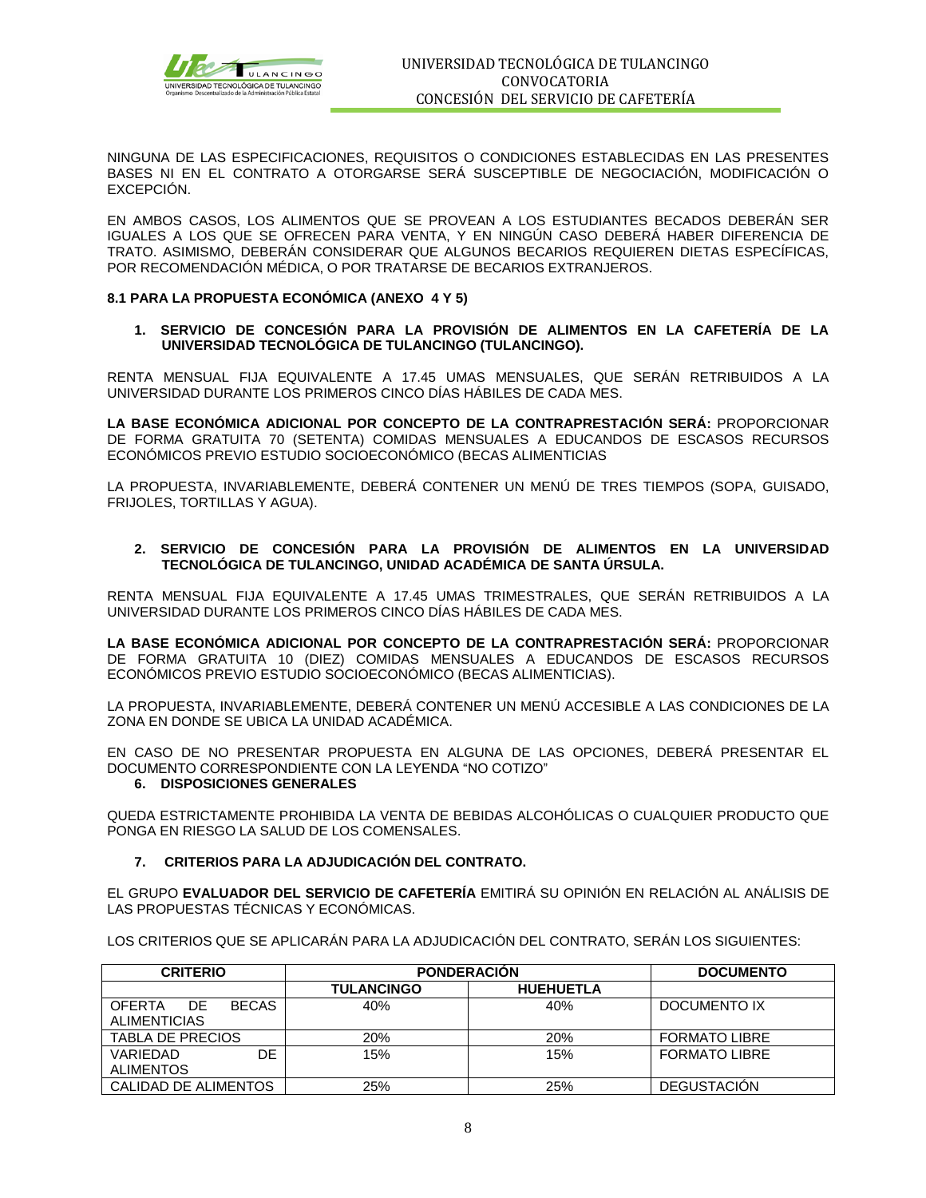

NINGUNA DE LAS ESPECIFICACIONES, REQUISITOS O CONDICIONES ESTABLECIDAS EN LAS PRESENTES BASES NI EN EL CONTRATO A OTORGARSE SERÁ SUSCEPTIBLE DE NEGOCIACIÓN, MODIFICACIÓN O EXCEPCIÓN.

EN AMBOS CASOS, LOS ALIMENTOS QUE SE PROVEAN A LOS ESTUDIANTES BECADOS DEBERÁN SER IGUALES A LOS QUE SE OFRECEN PARA VENTA, Y EN NINGÚN CASO DEBERÁ HABER DIFERENCIA DE TRATO. ASIMISMO, DEBERÁN CONSIDERAR QUE ALGUNOS BECARIOS REQUIEREN DIETAS ESPECÍFICAS, POR RECOMENDACIÓN MÉDICA, O POR TRATARSE DE BECARIOS EXTRANJEROS.

#### **8.1 PARA LA PROPUESTA ECONÓMICA (ANEXO 4 Y 5)**

**1. SERVICIO DE CONCESIÓN PARA LA PROVISIÓN DE ALIMENTOS EN LA CAFETERÍA DE LA UNIVERSIDAD TECNOLÓGICA DE TULANCINGO (TULANCINGO).**

RENTA MENSUAL FIJA EQUIVALENTE A 17.45 UMAS MENSUALES, QUE SERÁN RETRIBUIDOS A LA UNIVERSIDAD DURANTE LOS PRIMEROS CINCO DÍAS HÁBILES DE CADA MES.

**LA BASE ECONÓMICA ADICIONAL POR CONCEPTO DE LA CONTRAPRESTACIÓN SERÁ:** PROPORCIONAR DE FORMA GRATUITA 70 (SETENTA) COMIDAS MENSUALES A EDUCANDOS DE ESCASOS RECURSOS ECONÓMICOS PREVIO ESTUDIO SOCIOECONÓMICO (BECAS ALIMENTICIAS

LA PROPUESTA, INVARIABLEMENTE, DEBERÁ CONTENER UN MENÚ DE TRES TIEMPOS (SOPA, GUISADO, FRIJOLES, TORTILLAS Y AGUA).

#### **2. SERVICIO DE CONCESIÓN PARA LA PROVISIÓN DE ALIMENTOS EN LA UNIVERSIDAD TECNOLÓGICA DE TULANCINGO, UNIDAD ACADÉMICA DE SANTA ÚRSULA.**

RENTA MENSUAL FIJA EQUIVALENTE A 17.45 UMAS TRIMESTRALES, QUE SERÁN RETRIBUIDOS A LA UNIVERSIDAD DURANTE LOS PRIMEROS CINCO DÍAS HÁBILES DE CADA MES.

**LA BASE ECONÓMICA ADICIONAL POR CONCEPTO DE LA CONTRAPRESTACIÓN SERÁ:** PROPORCIONAR DE FORMA GRATUITA 10 (DIEZ) COMIDAS MENSUALES A EDUCANDOS DE ESCASOS RECURSOS ECONÓMICOS PREVIO ESTUDIO SOCIOECONÓMICO (BECAS ALIMENTICIAS).

LA PROPUESTA, INVARIABLEMENTE, DEBERÁ CONTENER UN MENÚ ACCESIBLE A LAS CONDICIONES DE LA ZONA EN DONDE SE UBICA LA UNIDAD ACADÉMICA.

EN CASO DE NO PRESENTAR PROPUESTA EN ALGUNA DE LAS OPCIONES, DEBERÁ PRESENTAR EL DOCUMENTO CORRESPONDIENTE CON LA LEYENDA "NO COTIZO"

## **6. DISPOSICIONES GENERALES**

QUEDA ESTRICTAMENTE PROHIBIDA LA VENTA DE BEBIDAS ALCOHÓLICAS O CUALQUIER PRODUCTO QUE PONGA EN RIESGO LA SALUD DE LOS COMENSALES.

#### **7. CRITERIOS PARA LA ADJUDICACIÓN DEL CONTRATO.**

EL GRUPO **EVALUADOR DEL SERVICIO DE CAFETERÍA** EMITIRÁ SU OPINIÓN EN RELACIÓN AL ANÁLISIS DE LAS PROPUESTAS TÉCNICAS Y ECONÓMICAS.

LOS CRITERIOS QUE SE APLICARÁN PARA LA ADJUDICACIÓN DEL CONTRATO, SERÁN LOS SIGUIENTES:

| <b>CRITERIO</b>                                      | <b>PONDERACION</b> | <b>DOCUMENTO</b> |                      |
|------------------------------------------------------|--------------------|------------------|----------------------|
|                                                      | <b>TULANCINGO</b>  | <b>HUEHUETLA</b> |                      |
| <b>BECAS</b><br>DE.<br>OFFRTA<br><b>ALIMENTICIAS</b> | 40%                | 40%              | DOCUMENTO IX         |
| <b>TABLA DE PRECIOS</b>                              | 20%                | <b>20%</b>       | <b>FORMATO LIBRE</b> |
| DF<br>VARIEDAD<br><b>ALIMENTOS</b>                   | 15%                | 15%              | <b>FORMATO LIBRE</b> |
| CALIDAD DE ALIMENTOS                                 | 25%                | 25%              | <b>DEGUSTACION</b>   |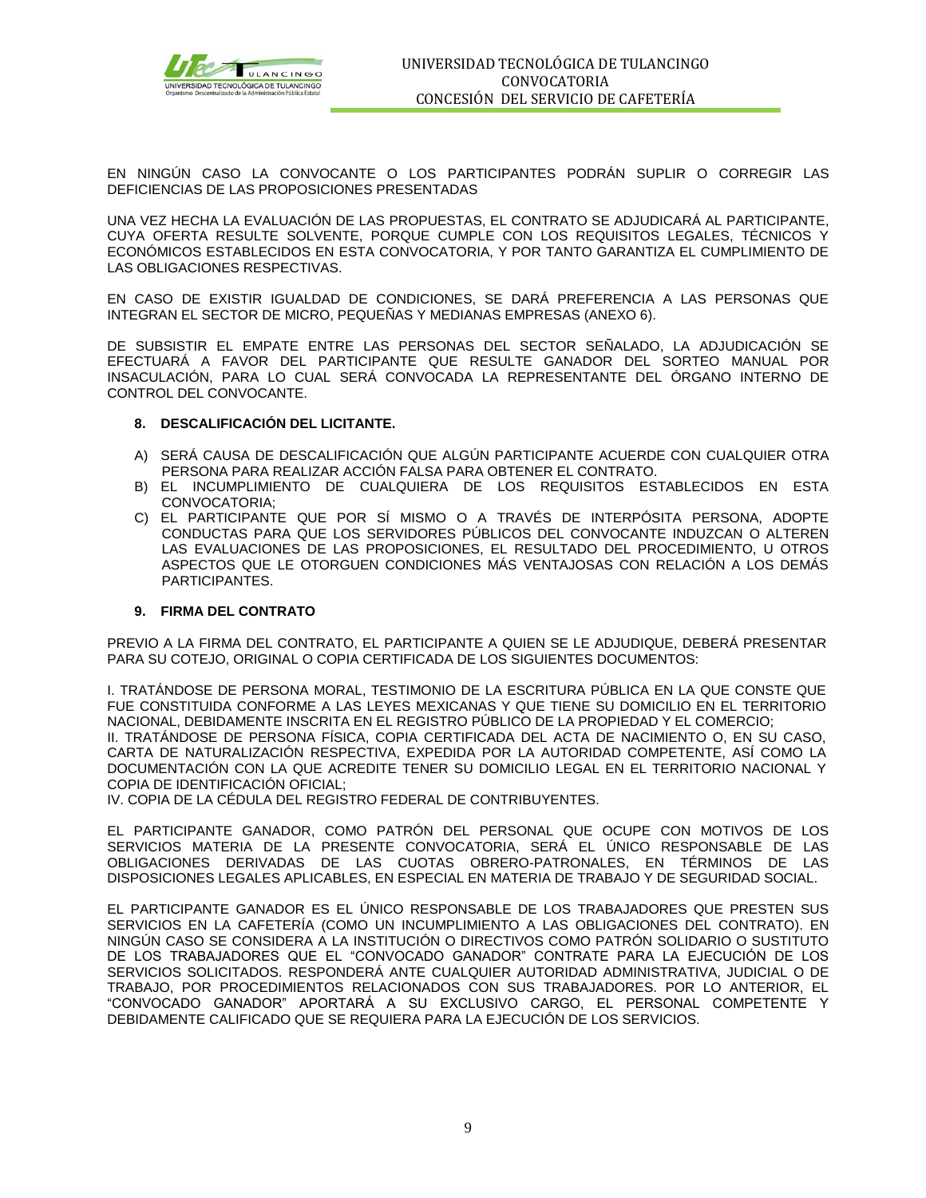

EN NINGÚN CASO LA CONVOCANTE O LOS PARTICIPANTES PODRÁN SUPLIR O CORREGIR LAS DEFICIENCIAS DE LAS PROPOSICIONES PRESENTADAS

UNA VEZ HECHA LA EVALUACIÓN DE LAS PROPUESTAS, EL CONTRATO SE ADJUDICARÁ AL PARTICIPANTE, CUYA OFERTA RESULTE SOLVENTE, PORQUE CUMPLE CON LOS REQUISITOS LEGALES, TÉCNICOS Y ECONÓMICOS ESTABLECIDOS EN ESTA CONVOCATORIA, Y POR TANTO GARANTIZA EL CUMPLIMIENTO DE LAS OBLIGACIONES RESPECTIVAS.

EN CASO DE EXISTIR IGUALDAD DE CONDICIONES, SE DARÁ PREFERENCIA A LAS PERSONAS QUE INTEGRAN EL SECTOR DE MICRO, PEQUEÑAS Y MEDIANAS EMPRESAS (ANEXO 6).

DE SUBSISTIR EL EMPATE ENTRE LAS PERSONAS DEL SECTOR SEÑALADO, LA ADJUDICACIÓN SE EFECTUARÁ A FAVOR DEL PARTICIPANTE QUE RESULTE GANADOR DEL SORTEO MANUAL POR INSACULACIÓN, PARA LO CUAL SERÁ CONVOCADA LA REPRESENTANTE DEL ÓRGANO INTERNO DE CONTROL DEL CONVOCANTE.

#### **8. DESCALIFICACIÓN DEL LICITANTE.**

- A) SERÁ CAUSA DE DESCALIFICACIÓN QUE ALGÚN PARTICIPANTE ACUERDE CON CUALQUIER OTRA PERSONA PARA REALIZAR ACCIÓN FALSA PARA OBTENER EL CONTRATO.
- B) EL INCUMPLIMIENTO DE CUALQUIERA DE LOS REQUISITOS ESTABLECIDOS EN ESTA CONVOCATORIA;
- C) EL PARTICIPANTE QUE POR SÍ MISMO O A TRAVÉS DE INTERPÓSITA PERSONA, ADOPTE CONDUCTAS PARA QUE LOS SERVIDORES PÚBLICOS DEL CONVOCANTE INDUZCAN O ALTEREN LAS EVALUACIONES DE LAS PROPOSICIONES, EL RESULTADO DEL PROCEDIMIENTO, U OTROS ASPECTOS QUE LE OTORGUEN CONDICIONES MÁS VENTAJOSAS CON RELACIÓN A LOS DEMÁS PARTICIPANTES.

#### **9. FIRMA DEL CONTRATO**

PREVIO A LA FIRMA DEL CONTRATO, EL PARTICIPANTE A QUIEN SE LE ADJUDIQUE, DEBERÁ PRESENTAR PARA SU COTEJO, ORIGINAL O COPIA CERTIFICADA DE LOS SIGUIENTES DOCUMENTOS:

I. TRATÁNDOSE DE PERSONA MORAL, TESTIMONIO DE LA ESCRITURA PÚBLICA EN LA QUE CONSTE QUE FUE CONSTITUIDA CONFORME A LAS LEYES MEXICANAS Y QUE TIENE SU DOMICILIO EN EL TERRITORIO NACIONAL, DEBIDAMENTE INSCRITA EN EL REGISTRO PÚBLICO DE LA PROPIEDAD Y EL COMERCIO; II. TRATÁNDOSE DE PERSONA FÍSICA, COPIA CERTIFICADA DEL ACTA DE NACIMIENTO O, EN SU CASO, CARTA DE NATURALIZACIÓN RESPECTIVA, EXPEDIDA POR LA AUTORIDAD COMPETENTE, ASÍ COMO LA DOCUMENTACIÓN CON LA QUE ACREDITE TENER SU DOMICILIO LEGAL EN EL TERRITORIO NACIONAL Y COPIA DE IDENTIFICACIÓN OFICIAL;

IV. COPIA DE LA CÉDULA DEL REGISTRO FEDERAL DE CONTRIBUYENTES.

EL PARTICIPANTE GANADOR, COMO PATRÓN DEL PERSONAL QUE OCUPE CON MOTIVOS DE LOS SERVICIOS MATERIA DE LA PRESENTE CONVOCATORIA, SERÁ EL ÚNICO RESPONSABLE DE LAS OBLIGACIONES DERIVADAS DE LAS CUOTAS OBRERO-PATRONALES, EN TÉRMINOS DE LAS DISPOSICIONES LEGALES APLICABLES, EN ESPECIAL EN MATERIA DE TRABAJO Y DE SEGURIDAD SOCIAL.

EL PARTICIPANTE GANADOR ES EL ÚNICO RESPONSABLE DE LOS TRABAJADORES QUE PRESTEN SUS SERVICIOS EN LA CAFETERÍA (COMO UN INCUMPLIMIENTO A LAS OBLIGACIONES DEL CONTRATO). EN NINGÚN CASO SE CONSIDERA A LA INSTITUCIÓN O DIRECTIVOS COMO PATRÓN SOLIDARIO O SUSTITUTO DE LOS TRABAJADORES QUE EL "CONVOCADO GANADOR" CONTRATE PARA LA EJECUCIÓN DE LOS SERVICIOS SOLICITADOS. RESPONDERÁ ANTE CUALQUIER AUTORIDAD ADMINISTRATIVA, JUDICIAL O DE TRABAJO, POR PROCEDIMIENTOS RELACIONADOS CON SUS TRABAJADORES. POR LO ANTERIOR, EL "CONVOCADO GANADOR" APORTARÁ A SU EXCLUSIVO CARGO, EL PERSONAL COMPETENTE Y DEBIDAMENTE CALIFICADO QUE SE REQUIERA PARA LA EJECUCIÓN DE LOS SERVICIOS.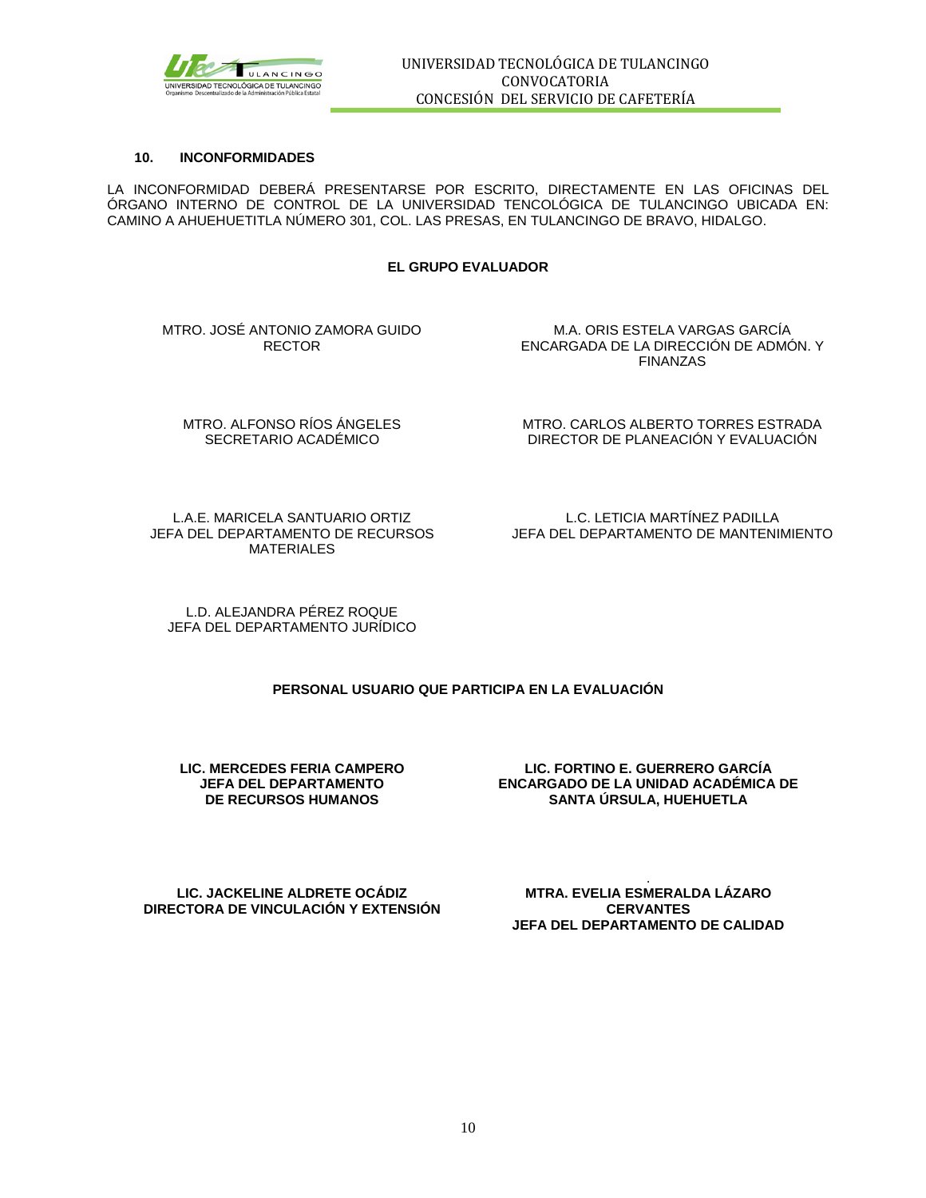

#### **10. INCONFORMIDADES**

LA INCONFORMIDAD DEBERÁ PRESENTARSE POR ESCRITO, DIRECTAMENTE EN LAS OFICINAS DEL ÓRGANO INTERNO DE CONTROL DE LA UNIVERSIDAD TENCOLÓGICA DE TULANCINGO UBICADA EN: CAMINO A AHUEHUETITLA NÚMERO 301, COL. LAS PRESAS, EN TULANCINGO DE BRAVO, HIDALGO.

#### **EL GRUPO EVALUADOR**

MTRO. JOSÉ ANTONIO ZAMORA GUIDO RECTOR

M.A. ORIS ESTELA VARGAS GARCÍA ENCARGADA DE LA DIRECCIÓN DE ADMÓN. Y FINANZAS

MTRO. ALFONSO RÍOS ÁNGELES SECRETARIO ACADÉMICO

MTRO. CARLOS ALBERTO TORRES ESTRADA DIRECTOR DE PLANEACIÓN Y EVALUACIÓN

L.A.E. MARICELA SANTUARIO ORTIZ JEFA DEL DEPARTAMENTO DE RECURSOS MATERIALES

L.C. LETICIA MARTÍNEZ PADILLA JEFA DEL DEPARTAMENTO DE MANTENIMIENTO

L.D. ALEJANDRA PÉREZ ROQUE JEFA DEL DEPARTAMENTO JURÍDICO

#### **PERSONAL USUARIO QUE PARTICIPA EN LA EVALUACIÓN**

**LIC. MERCEDES FERIA CAMPERO JEFA DEL DEPARTAMENTO DE RECURSOS HUMANOS** 

**LIC. FORTINO E. GUERRERO GARCÍA ENCARGADO DE LA UNIDAD ACADÉMICA DE SANTA ÚRSULA, HUEHUETLA**

**LIC. JACKELINE ALDRETE OCÁDIZ DIRECTORA DE VINCULACIÓN Y EXTENSIÓN**

. **MTRA. EVELIA ESMERALDA LÁZARO CERVANTES JEFA DEL DEPARTAMENTO DE CALIDAD**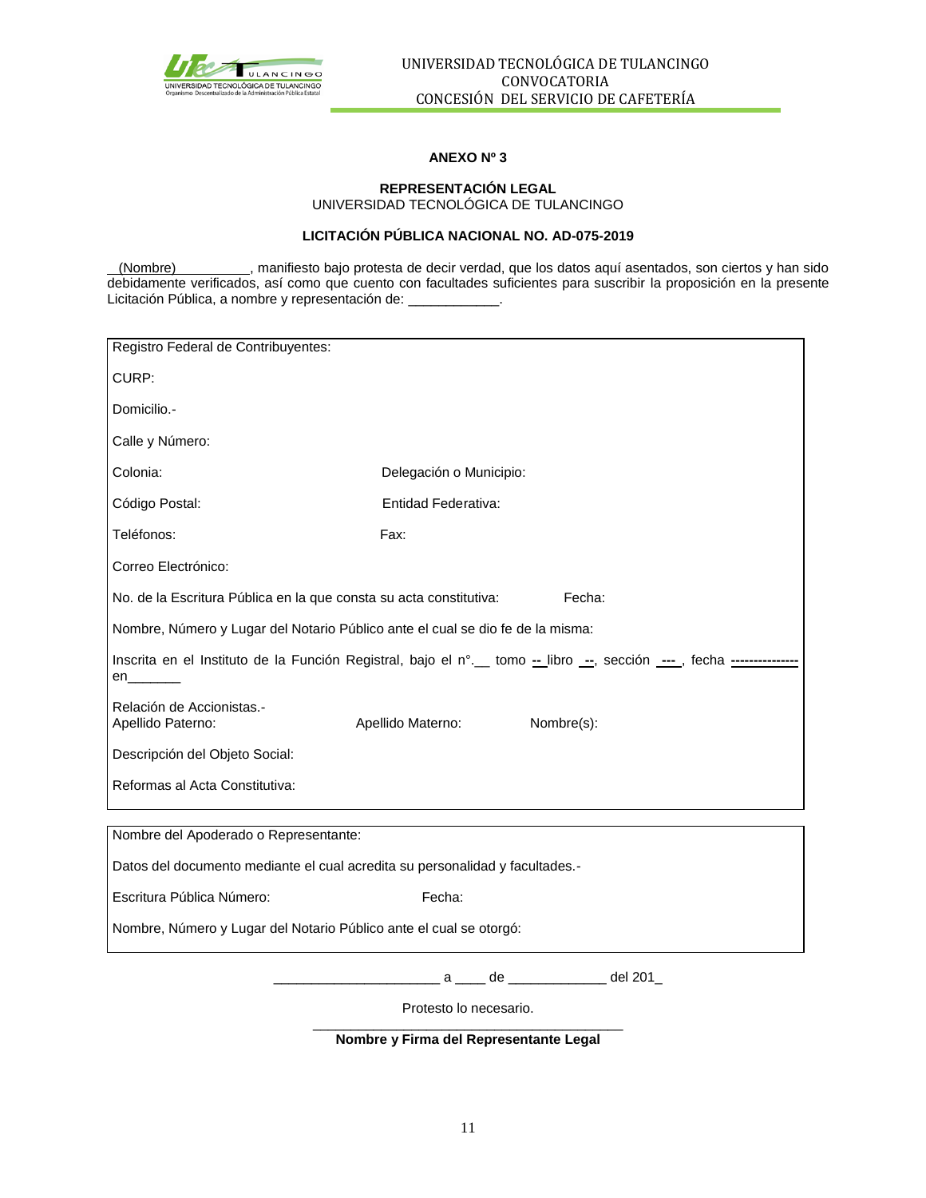

#### **ANEXO Nº 3**

#### **REPRESENTACIÓN LEGAL** UNIVERSIDAD TECNOLÓGICA DE TULANCINGO

## **LICITACIÓN PÚBLICA NACIONAL NO. AD-075-2019**

 (Nombre) , manifiesto bajo protesta de decir verdad, que los datos aquí asentados, son ciertos y han sido debidamente verificados, así como que cuento con facultades suficientes para suscribir la proposición en la presente Licitación Pública, a nombre y representación de:

| Registro Federal de Contribuyentes:                                                                               |                         |  |            |  |
|-------------------------------------------------------------------------------------------------------------------|-------------------------|--|------------|--|
| CURP:                                                                                                             |                         |  |            |  |
| Domicilio.-                                                                                                       |                         |  |            |  |
| Calle y Número:                                                                                                   |                         |  |            |  |
| Colonia:                                                                                                          | Delegación o Municipio: |  |            |  |
| Código Postal:                                                                                                    | Entidad Federativa:     |  |            |  |
| Teléfonos:                                                                                                        | Fax:                    |  |            |  |
| Correo Electrónico:                                                                                               |                         |  |            |  |
| No. de la Escritura Pública en la que consta su acta constitutiva:                                                |                         |  | Fecha:     |  |
| Nombre, Número y Lugar del Notario Público ante el cual se dio fe de la misma:                                    |                         |  |            |  |
| Inscrita en el Instituto de la Función Registral, bajo el n°. tomo -libro -, sección ---, fecha -----------<br>en |                         |  |            |  |
| Relación de Accionistas.-<br>Apellido Paterno:                                                                    | Apellido Materno:       |  | Nombre(s): |  |
| Descripción del Objeto Social:                                                                                    |                         |  |            |  |
| Reformas al Acta Constitutiva:                                                                                    |                         |  |            |  |
| Nombre del Apoderado o Representante:                                                                             |                         |  |            |  |
| Datos del documento mediante el cual acredita su personalidad y facultades.-                                      |                         |  |            |  |
| Escritura Pública Número:<br>Fecha:                                                                               |                         |  |            |  |
| Nombre, Número y Lugar del Notario Público ante el cual se otorgó:                                                |                         |  |            |  |
|                                                                                                                   |                         |  |            |  |

Protesto lo necesario.

\_\_\_\_\_\_\_\_\_\_\_\_\_\_\_\_\_\_\_\_\_\_\_\_\_\_\_\_\_\_\_\_\_\_\_\_\_\_\_\_\_ **Nombre y Firma del Representante Legal**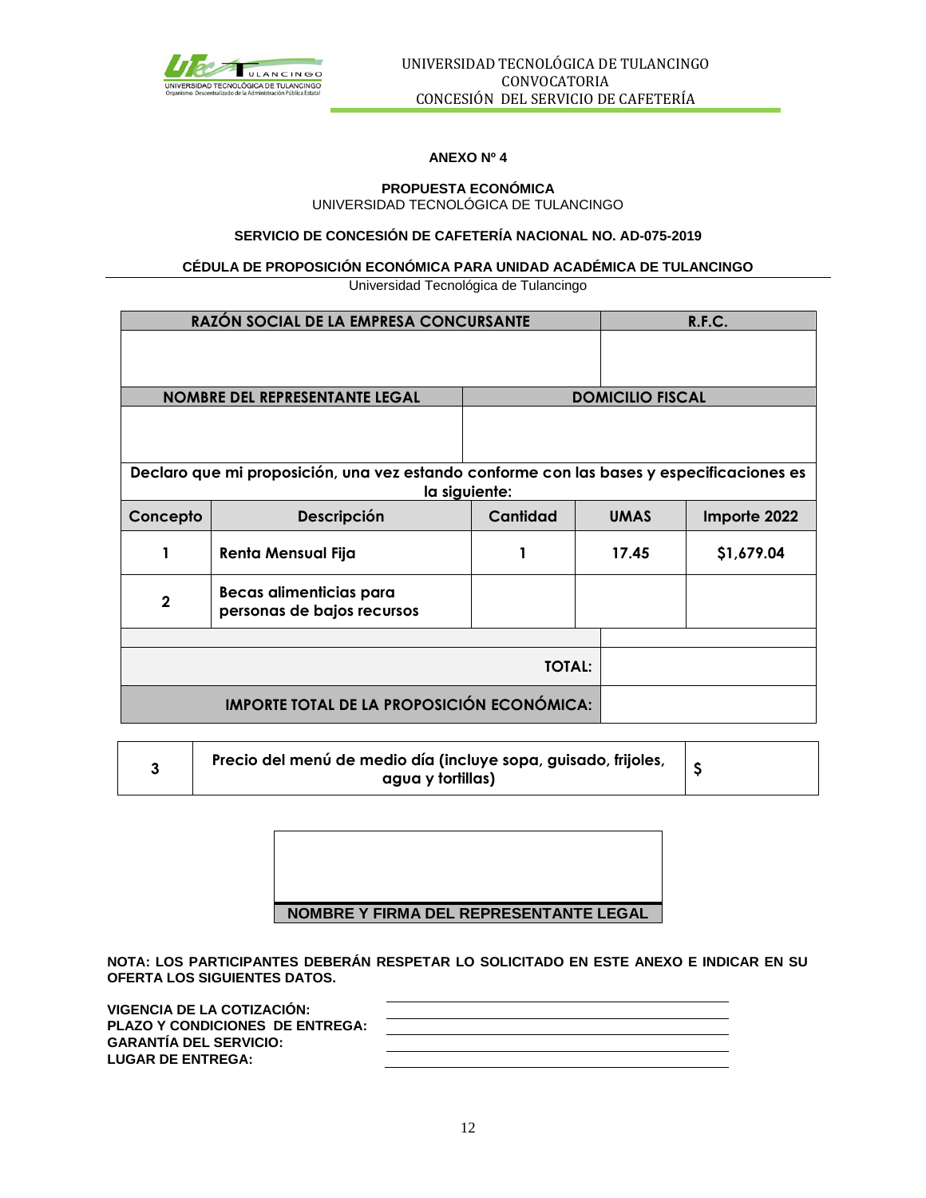

### **ANEXO Nº 4**

#### **PROPUESTA ECONÓMICA** UNIVERSIDAD TECNOLÓGICA DE TULANCINGO

## **SERVICIO DE CONCESIÓN DE CAFETERÍA NACIONAL NO. AD-075-2019**

### **CÉDULA DE PROPOSICIÓN ECONÓMICA PARA UNIDAD ACADÉMICA DE TULANCINGO**

Universidad Tecnológica de Tulancingo

|                | RAZÓN SOCIAL DE LA EMPRESA CONCURSANTE                                                                    |          | R.F.C.                      |                         |  |  |  |  |
|----------------|-----------------------------------------------------------------------------------------------------------|----------|-----------------------------|-------------------------|--|--|--|--|
|                |                                                                                                           |          |                             |                         |  |  |  |  |
|                |                                                                                                           |          |                             |                         |  |  |  |  |
|                | <b>NOMBRE DEL REPRESENTANTE LEGAL</b>                                                                     |          |                             | <b>DOMICILIO FISCAL</b> |  |  |  |  |
|                |                                                                                                           |          |                             |                         |  |  |  |  |
|                | Declaro que mi proposición, una vez estando conforme con las bases y especificaciones es<br>la siguiente: |          |                             |                         |  |  |  |  |
| Concepto       | Descripción                                                                                               | Cantidad | <b>UMAS</b><br>Importe 2022 |                         |  |  |  |  |
|                | <b>Renta Mensual Fija</b>                                                                                 |          | 17.45                       | \$1,679.04              |  |  |  |  |
| $\overline{2}$ | Becas alimenticias para<br>personas de bajos recursos                                                     |          |                             |                         |  |  |  |  |
|                |                                                                                                           |          |                             |                         |  |  |  |  |
| <b>TOTAL:</b>  |                                                                                                           |          |                             |                         |  |  |  |  |
|                | <b>IMPORTE TOTAL DE LA PROPOSICIÓN ECONÓMICA:</b>                                                         |          |                             |                         |  |  |  |  |

| Precio del menú de medio día (incluye sopa, guisado, frijoles, |  |
|----------------------------------------------------------------|--|
| agua y tortillas)                                              |  |

| NOMBRE Y FIRMA DEL REPRESENTANTE LEGAL |
|----------------------------------------|

**NOTA: LOS PARTICIPANTES DEBERÁN RESPETAR LO SOLICITADO EN ESTE ANEXO E INDICAR EN SU OFERTA LOS SIGUIENTES DATOS.**

| VIGENCIA DE LA COTIZACIÓN:             |  |
|----------------------------------------|--|
| <b>PLAZO Y CONDICIONES DE ENTREGA:</b> |  |
| <b>GARANTÍA DEL SERVICIO:</b>          |  |
| <b>LUGAR DE ENTREGA:</b>               |  |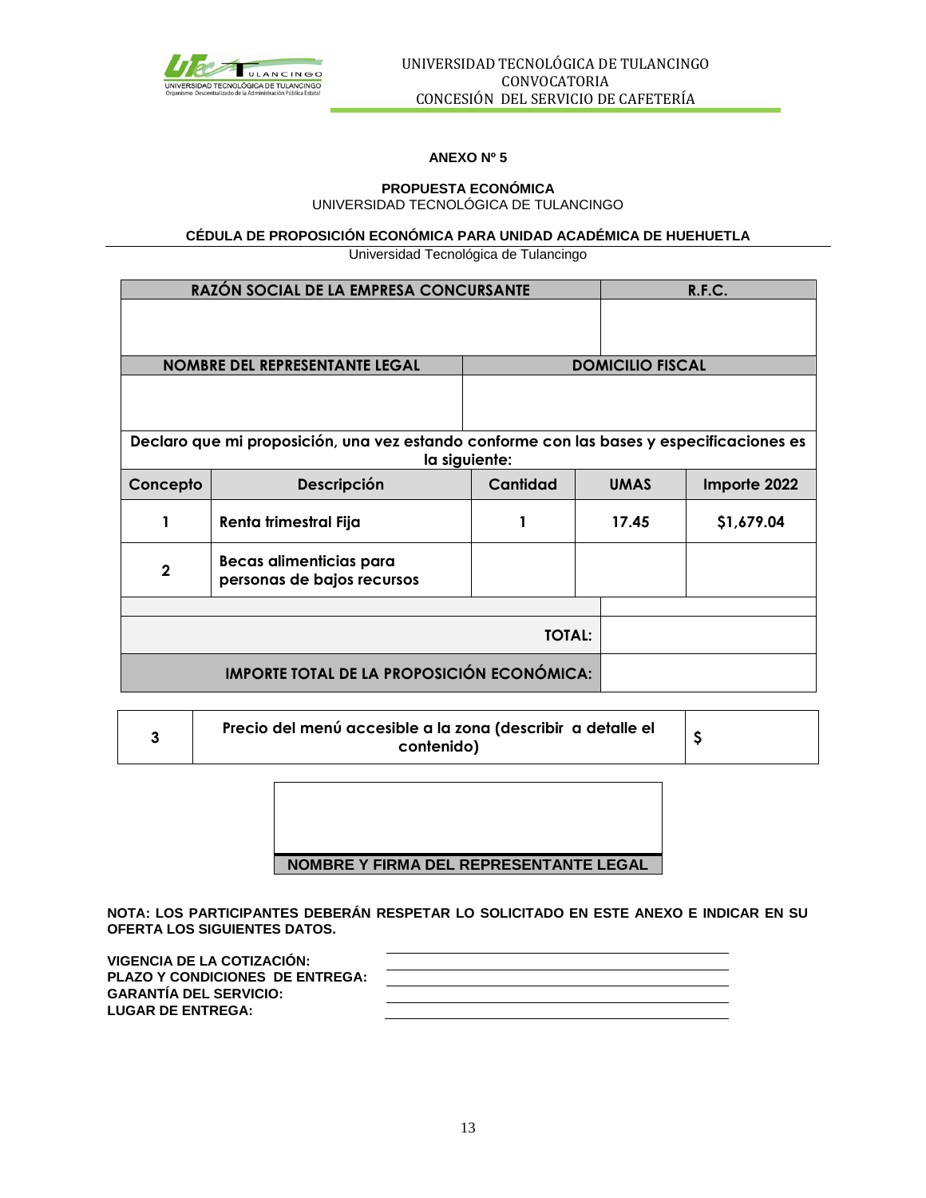

## **ANEXO Nº 5**

#### **PROPUESTA ECONÓMICA** UNIVERSIDAD TECNOLÓGICA DE TULANCINGO

## **CÉDULA DE PROPOSICIÓN ECONÓMICA PARA UNIDAD ACADÉMICA DE HUEHUETLA**

Universidad Tecnológica de Tulancingo

|                | RAZÓN SOCIAL DE LA EMPRESA CONCURSANTE                                                   |               | R.F.C.                      |            |  |  |  |  |
|----------------|------------------------------------------------------------------------------------------|---------------|-----------------------------|------------|--|--|--|--|
|                |                                                                                          |               |                             |            |  |  |  |  |
|                |                                                                                          |               |                             |            |  |  |  |  |
|                | <b>NOMBRE DEL REPRESENTANTE LEGAL</b>                                                    |               | <b>DOMICILIO FISCAL</b>     |            |  |  |  |  |
|                |                                                                                          |               |                             |            |  |  |  |  |
|                |                                                                                          |               |                             |            |  |  |  |  |
|                | Declaro que mi proposición, una vez estando conforme con las bases y especificaciones es |               |                             |            |  |  |  |  |
|                |                                                                                          | la siguiente: |                             |            |  |  |  |  |
| Concepto       | Descripción                                                                              | Cantidad      | <b>UMAS</b><br>Importe 2022 |            |  |  |  |  |
| 1              | Renta trimestral Fija                                                                    |               | 17.45                       | \$1,679.04 |  |  |  |  |
| $\overline{2}$ | Becas alimenticias para<br>personas de bajos recursos                                    |               |                             |            |  |  |  |  |
|                |                                                                                          |               |                             |            |  |  |  |  |
|                | <b>TOTAL:</b>                                                                            |               |                             |            |  |  |  |  |
|                | <b>IMPORTE TOTAL DE LA PROPOSICIÓN ECONÓMICA:</b>                                        |               |                             |            |  |  |  |  |

| J. | Precio del menú accesible a la zona (describir a detalle el |  |  |
|----|-------------------------------------------------------------|--|--|
|    | contenido)                                                  |  |  |

**NOMBRE Y FIRMA DEL REPRESENTANTE LEGAL**

**NOTA: LOS PARTICIPANTES DEBERÁN RESPETAR LO SOLICITADO EN ESTE ANEXO E INDICAR EN SU OFERTA LOS SIGUIENTES DATOS.**

| <b>VIGENCIA DE LA COTIZACIÓN:</b>      |  |
|----------------------------------------|--|
| <b>PLAZO Y CONDICIONES DE ENTREGA:</b> |  |
| <b>GARANTÍA DEL SERVICIO:</b>          |  |
| <b>LUGAR DE ENTREGA:</b>               |  |